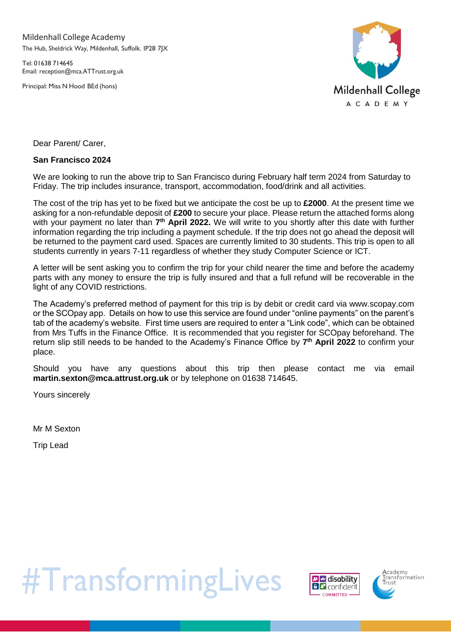Mildenhall College Academy The Hub, Sheldrick Way, Mildenhall, Suffolk. IP28 7JX

Tel: 01638 714645 Email: [reception@mca.ATTrust.org.uk](mailto:reception@mca.ATTrust.org.uk)

Principal: Miss N Hood BEd (hons)



Dear Parent/ Carer,

### **San Francisco 2024**

We are looking to run the above trip to San Francisco during February half term 2024 from Saturday to Friday. The trip includes insurance, transport, accommodation, food/drink and all activities.

The cost of the trip has yet to be fixed but we anticipate the cost be up to **£2000**. At the present time we asking for a non-refundable deposit of **£200** to secure your place. Please return the attached forms along with your payment no later than 7<sup>th</sup> April 2022. We will write to you shortly after this date with further information regarding the trip including a payment schedule. If the trip does not go ahead the deposit will be returned to the payment card used. Spaces are currently limited to 30 students. This trip is open to all students currently in years 7-11 regardless of whether they study Computer Science or ICT.

A letter will be sent asking you to confirm the trip for your child nearer the time and before the academy parts with any money to ensure the trip is fully insured and that a full refund will be recoverable in the light of any COVID restrictions.

The Academy's preferred method of payment for this trip is by debit or credit card via www.scopay.com or the SCOpay app. Details on how to use this service are found under "online payments" on the parent's tab of the academy's website. First time users are required to enter a "Link code", which can be obtained from Mrs Tuffs in the Finance Office. It is recommended that you register for SCOpay beforehand. The return slip still needs to be handed to the Academy's Finance Office by **7 th April 2022** to confirm your place.

Should you have any questions about this trip then please contact me via email **martin.sexton@mca.attrust.org.uk** or by telephone on 01638 714645.

Yours sincerely

Mr M Sexton

Trip Lead

#TransformingLives



**A**cademy<br>Fransformation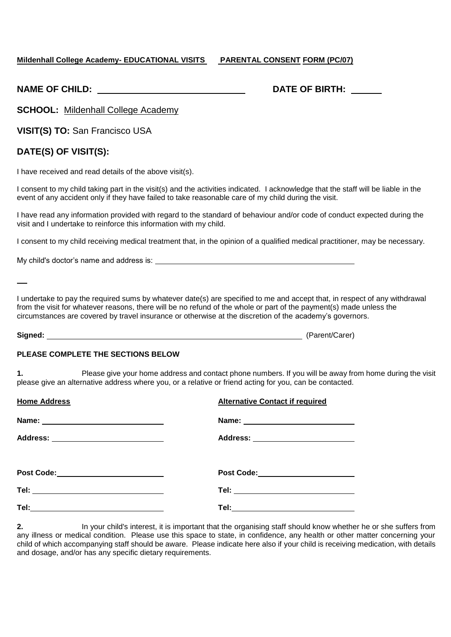### **Mildenhall College Academy- EDUCATIONAL VISITS PARENTAL CONSENT FORM (PC/07)**

|  | <b>NAME OF CHILD:</b> |
|--|-----------------------|
|  |                       |

# **NATE OF BIRTH:**

**SCHOOL:** Mildenhall College Academy

**VISIT(S) TO:** San Francisco USA

## **DATE(S) OF VISIT(S):**

I have received and read details of the above visit(s).

I consent to my child taking part in the visit(s) and the activities indicated. I acknowledge that the staff will be liable in the event of any accident only if they have failed to take reasonable care of my child during the visit.

I have read any information provided with regard to the standard of behaviour and/or code of conduct expected during the visit and I undertake to reinforce this information with my child.

I consent to my child receiving medical treatment that, in the opinion of a qualified medical practitioner, may be necessary.

My child's doctor's name and address is:

I undertake to pay the required sums by whatever date(s) are specified to me and accept that, in respect of any withdrawal from the visit for whatever reasons, there will be no refund of the whole or part of the payment(s) made unless the circumstances are covered by travel insurance or otherwise at the discretion of the academy's governors.

**Signed:** (Parent/Carer)

#### **PLEASE COMPLETE THE SECTIONS BELOW**

**1.** Please give your home address and contact phone numbers. If you will be away from home during the visit please give an alternative address where you, or a relative or friend acting for you, can be contacted.

| <b>Home Address</b>                        | <b>Alternative Contact if required</b> |
|--------------------------------------------|----------------------------------------|
|                                            |                                        |
| Address: ______________________________    | Address: ________________________      |
| Post Code:________________________________ | Post Code:_______________________      |
|                                            | Tel: ______________________________    |
|                                            | Tel:_______________________________    |

**2.** In your child's interest, it is important that the organising staff should know whether he or she suffers from any illness or medical condition. Please use this space to state, in confidence, any health or other matter concerning your child of which accompanying staff should be aware. Please indicate here also if your child is receiving medication, with details and dosage, and/or has any specific dietary requirements.